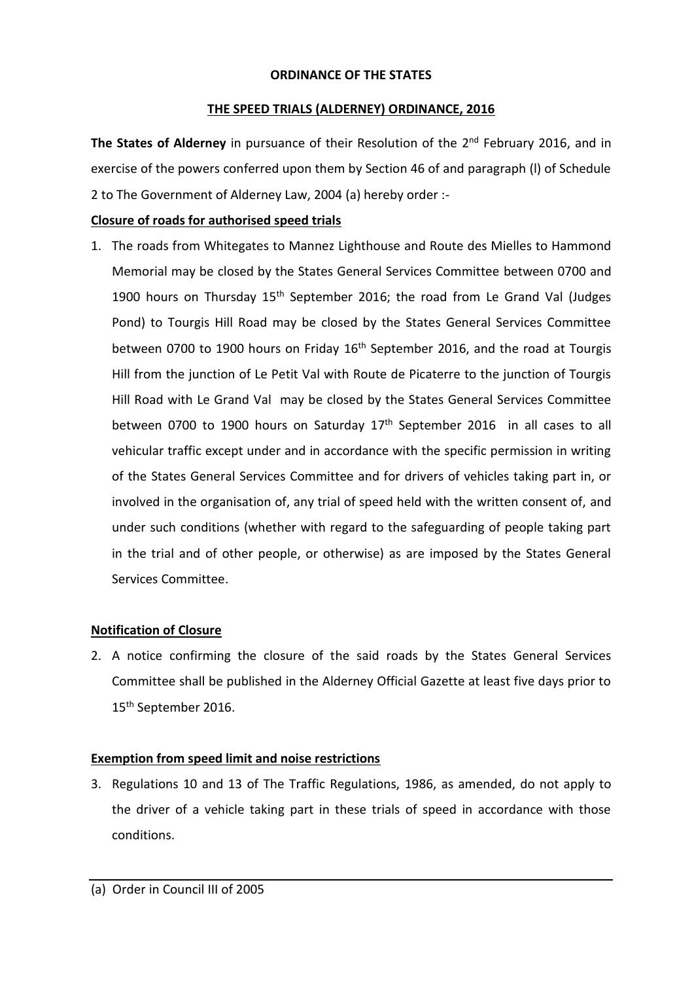#### **ORDINANCE OF THE STATES**

#### **THE SPEED TRIALS (ALDERNEY) ORDINANCE, 2016**

The States of Alderney in pursuance of their Resolution of the 2<sup>nd</sup> February 2016, and in exercise of the powers conferred upon them by Section 46 of and paragraph (l) of Schedule 2 to The Government of Alderney Law, 2004 (a) hereby order :-

# **Closure of roads for authorised speed trials**

1. The roads from Whitegates to Mannez Lighthouse and Route des Mielles to Hammond Memorial may be closed by the States General Services Committee between 0700 and 1900 hours on Thursday 15<sup>th</sup> September 2016; the road from Le Grand Val (Judges Pond) to Tourgis Hill Road may be closed by the States General Services Committee between 0700 to 1900 hours on Friday 16<sup>th</sup> September 2016, and the road at Tourgis Hill from the junction of Le Petit Val with Route de Picaterre to the junction of Tourgis Hill Road with Le Grand Val may be closed by the States General Services Committee between 0700 to 1900 hours on Saturday 17<sup>th</sup> September 2016 in all cases to all vehicular traffic except under and in accordance with the specific permission in writing of the States General Services Committee and for drivers of vehicles taking part in, or involved in the organisation of, any trial of speed held with the written consent of, and under such conditions (whether with regard to the safeguarding of people taking part in the trial and of other people, or otherwise) as are imposed by the States General Services Committee.

# **Notification of Closure**

2. A notice confirming the closure of the said roads by the States General Services Committee shall be published in the Alderney Official Gazette at least five days prior to 15<sup>th</sup> September 2016.

# **Exemption from speed limit and noise restrictions**

3. Regulations 10 and 13 of The Traffic Regulations, 1986, as amended, do not apply to the driver of a vehicle taking part in these trials of speed in accordance with those conditions.